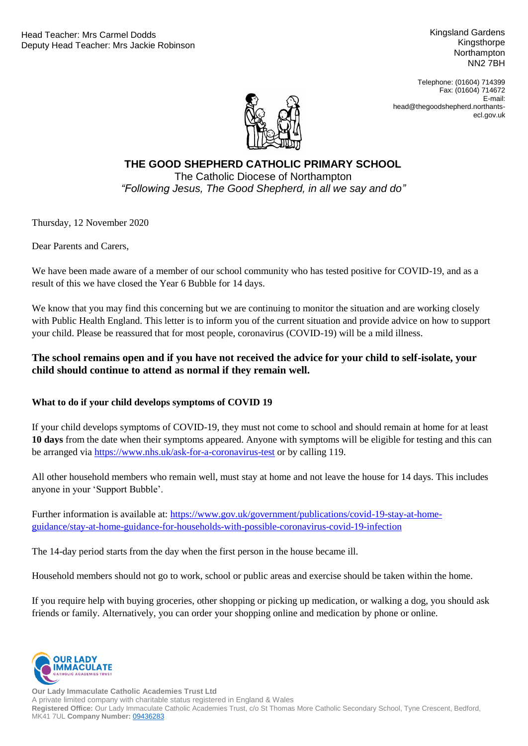Kingsland Gardens Kingsthorpe **Northampton** NN2 7BH

Telephone: (01604) 714399 Fax: (01604) 714672 E-mail: head@thegoodshepherd.northantsecl.gov.uk



# "Following Jesus, The Good Shepherd, in all we say and do" **THE GOOD SHEPHERD CATHOLIC PRIMARY SCHOOL** The Catholic Diocese of Northampton

Thursday, 12 November 2020

Dear Parents and Carers,

We have been made aware of a member of our school community who has tested positive for COVID-19, and as a result of this we have closed the Year 6 Bubble for 14 days.

We know that you may find this concerning but we are continuing to monitor the situation and are working closely with Public Health England. This letter is to inform you of the current situation and provide advice on how to support your child. Please be reassured that for most people, coronavirus (COVID-19) will be a mild illness.

#### **The school remains open and if you have not received the advice for your child to self-isolate, your child should continue to attend as normal if they remain well.**

#### **What to do if your child develops symptoms of COVID 19**

If your child develops symptoms of COVID-19, they must not come to school and should remain at home for at least **10 days** from the date when their symptoms appeared. Anyone with symptoms will be eligible for testing and this can be arranged via<https://www.nhs.uk/ask-for-a-coronavirus-test> or by calling 119.

All other household members who remain well, must stay at home and not leave the house for 14 days. This includes anyone in your 'Support Bubble'.

Further information is available at: [https://www.gov.uk/government/publications/covid-19-stay-at-home](https://www.gov.uk/government/publications/covid-19-stay-at-home-guidance/stay-at-home-guidance-for-households-with-possible-coronavirus-covid-19-infection)[guidance/stay-at-home-guidance-for-households-with-possible-coronavirus-covid-19-infection](https://www.gov.uk/government/publications/covid-19-stay-at-home-guidance/stay-at-home-guidance-for-households-with-possible-coronavirus-covid-19-infection)

The 14-day period starts from the day when the first person in the house became ill.

Household members should not go to work, school or public areas and exercise should be taken within the home.

If you require help with buying groceries, other shopping or picking up medication, or walking a dog, you should ask friends or family. Alternatively, you can order your shopping online and medication by phone or online.



**Our Lady Immaculate Catholic Academies Trust Ltd** A private limited company with charitable status registered in England & Wales **Registered Office:** Our Lady Immaculate Catholic Academies Trust, c/o St Thomas More Catholic Secondary School, Tyne Crescent, Bedford, MK41 7UL **Company Number:** [09436283](https://beta.companieshouse.gov.uk/company/09436283)